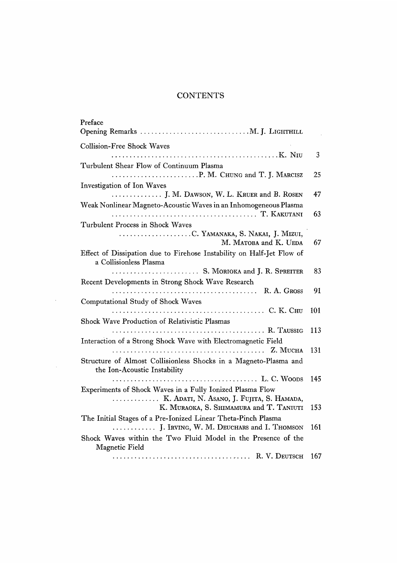## **CONTENTS**

| Preface<br>Opening Remarks  M. J. LIGHTHILL                                                               |     |
|-----------------------------------------------------------------------------------------------------------|-----|
| <b>Collision-Free Shock Waves</b>                                                                         |     |
|                                                                                                           | 3   |
| Turbulent Shear Flow of Continuum Plasma                                                                  |     |
|                                                                                                           | 25  |
| Investigation of Ion Waves                                                                                |     |
| J. M. DAWSON, W. L. KRUER and B. ROSEN                                                                    | 47  |
| Weak Nonlinear Magneto-Acoustic Waves in an Inhomogeneous Plasma                                          | 63  |
| Turbulent Process in Shock Waves                                                                          |     |
| C. YAMANAKA, S. NAKAI, J. MIZUI,<br>M. MATOBA and K. UEDA                                                 | 67  |
| Effect of Dissipation due to Firehose Instability on Half-Jet Flow of<br>a Collisionless Plasma           |     |
| S. MORIOKA and J. R. SPREITER                                                                             | 83  |
| Recent Developments in Strong Shock Wave Research                                                         |     |
|                                                                                                           | 91  |
| Computational Study of Shock Waves                                                                        |     |
|                                                                                                           | 101 |
| Shock Wave Production of Relativistic Plasmas                                                             |     |
|                                                                                                           | 113 |
| Interaction of a Strong Shock Wave with Electromagnetic Field                                             |     |
| $\ldots \ldots \ldots \ldots \ldots \ldots \ldots \ldots \ldots \ldots \ldots \ldots$                     | 131 |
| Structure of Almost Collisionless Shocks in a Magneto-Plasma and<br>the Ion-Acoustic Instability          |     |
|                                                                                                           | 145 |
| Experiments of Shock Waves in a Fully Ionized Plasma Flow                                                 |     |
| K. Adati, N. Asano, J. Fujita, S. Hamada,                                                                 |     |
| K. MURAOKA, S. SHIMAMURA and T. TANIUTI                                                                   | 153 |
| The Initial Stages of a Pre-Ionized Linear Theta-Pinch Plasma<br>J. IRVING, W. M. DEUCHARS and I. THOMSON | 161 |
| Shock Waves within the Two Fluid Model in the Presence of the<br>Magnetic Field                           |     |
|                                                                                                           | 167 |

 $\mathcal{L}^{\text{max}}_{\text{max}}$ 

 $\mathcal{L}^{\text{max}}_{\text{max}}$  and  $\mathcal{L}^{\text{max}}_{\text{max}}$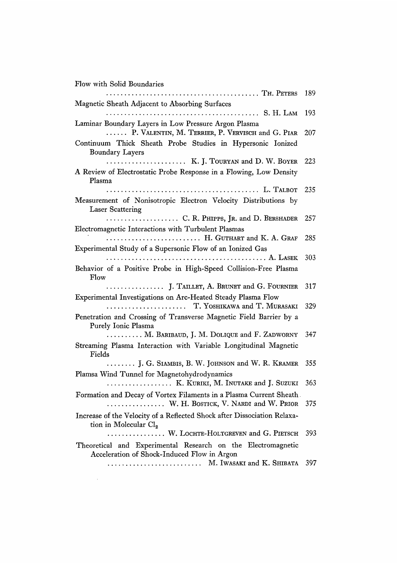Flow with Solid Boundaries

 $\sim 100$ 

| Magnetic Sheath Adjacent to Absorbing Surfaces                                                                | 189 |
|---------------------------------------------------------------------------------------------------------------|-----|
|                                                                                                               | 193 |
| Laminar Boundary Layers in Low Pressure Argon Plasma                                                          |     |
| P. VALENTIN, M. TERRIER, P. VERVISCH and G. PIAR                                                              | 207 |
| Continuum Thick Sheath Probe Studies in Hypersonic Ionized                                                    |     |
| <b>Boundary Layers</b>                                                                                        |     |
| K. J. TOURYAN and D. W. BOYER                                                                                 | 223 |
| A Review of Electrostatic Probe Response in a Flowing, Low Density<br>Plasma                                  |     |
|                                                                                                               | 235 |
| Measurement of Nonisotropic Electron Velocity Distributions by<br><b>Laser Scattering</b>                     |     |
| C. R. PHIPPS, JR. and D. BERSHADER                                                                            | 257 |
| Electromagnetic Interactions with Turbulent Plasmas                                                           |     |
| H. GUTHART and K. A. GRAF                                                                                     | 285 |
| Experimental Study of a Supersonic Flow of an Ionized Gas                                                     |     |
| . <i>.</i> . A. Lasek                                                                                         | 303 |
| Behavior of a Positive Probe in High-Speed Collision-Free Plasma<br>Flow                                      |     |
| J. TAILLET, A. BRUNET and G. FOURNIER                                                                         | 317 |
| Experimental Investigations on Arc-Heated Steady Plasma Flow                                                  | 329 |
| Penetration and Crossing of Transverse Magnetic Field Barrier by a<br>Purely Ionic Plasma                     |     |
| M. BARIBAUD, J. M. DOLIQUE and F. ZADWORNY                                                                    | 347 |
| Streaming Plasma Interaction with Variable Longitudinal Magnetic<br>Fields                                    |     |
| J. G. SIAMBIS, B. W. JOHNSON and W. R. KRAMER                                                                 | 355 |
| Plamsa Wind Tunnel for Magnetohydrodynamics                                                                   |     |
| K. KURIKI, M. INUTAKE and J. SUZUKI                                                                           | 363 |
| Formation and Decay of Vortex Filaments in a Plasma Current Sheath.<br>W. H. BOSTICK, V. NARDI and W. PRIOR   | 375 |
| Increase of the Velocity of a Reflected Shock after Dissociation Relaxa-<br>tion in Molecular Cl <sub>2</sub> |     |
| W. LOCHTE-HOLTGREVEN and G. PIETSCH                                                                           | 393 |
| Theoretical and Experimental Research on the Electromagnetic<br>Acceleration of Shock-Induced Flow in Argon   |     |
| M. Iwasaki and K. Shibata                                                                                     | 397 |